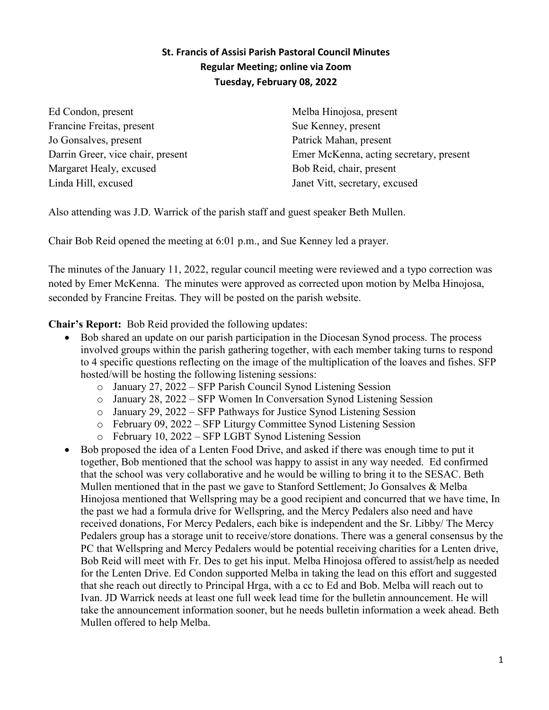## **St. Francis of Assisi Parish Pastoral Council Minutes Regular Meeting; online via Zoom Tuesday, February 08, 2022**

Ed Condon, present Francine Freitas, present Jo Gonsalves, present Darrin Greer, vice chair, present Margaret Healy, excused Linda Hill, excused

Melba Hinojosa, present Sue Kenney, present Patrick Mahan, present Emer McKenna, acting secretary, present Bob Reid, chair, present Janet Vitt, secretary, excused

Also attending was J.D. Warrick of the parish staff and guest speaker Beth Mullen.

Chair Bob Reid opened the meeting at 6:01 p.m., and Sue Kenney led a prayer.

The minutes of the January 11, 2022, regular council meeting were reviewed and a typo correction was noted by Emer McKenna. The minutes were approved as corrected upon motion by Melba Hinojosa, seconded by Francine Freitas. They will be posted on the parish website.

**Chair's Report:** Bob Reid provided the following updates:

- Bob shared an update on our parish participation in the Diocesan Synod process. The process involved groups within the parish gathering together, with each member taking turns to respond to 4 specific questions reflecting on the image of the multiplication of the loaves and fishes. SFP hosted/will be hosting the following listening sessions:
	- o January 27, 2022 SFP Parish Council Synod Listening Session
	- o January 28, 2022 SFP Women In Conversation Synod Listening Session
	- o January 29, 2022 SFP Pathways for Justice Synod Listening Session
	- o February 09, 2022 SFP Liturgy Committee Synod Listening Session
	- o February 10, 2022 SFP LGBT Synod Listening Session
- Bob proposed the idea of a Lenten Food Drive, and asked if there was enough time to put it together, Bob mentioned that the school was happy to assist in any way needed. Ed confirmed that the school was very collaborative and he would be willing to bring it to the SESAC. Beth Mullen mentioned that in the past we gave to Stanford Settlement; Jo Gonsalves & Melba Hinojosa mentioned that Wellspring may be a good recipient and concurred that we have time, In the past we had a formula drive for Wellspring, and the Mercy Pedalers also need and have received donations, For Mercy Pedalers, each bike is independent and the Sr. Libby/ The Mercy Pedalers group has a storage unit to receive/store donations. There was a general consensus by the PC that Wellspring and Mercy Pedalers would be potential receiving charities for a Lenten drive, Bob Reid will meet with Fr. Des to get his input. Melba Hinojosa offered to assist/help as needed for the Lenten Drive. Ed Condon supported Melba in taking the lead on this effort and suggested that she reach out directly to Principal Hrga, with a cc to Ed and Bob. Melba will reach out to Ivan. JD Warrick needs at least one full week lead time for the bulletin announcement. He will take the announcement information sooner, but he needs bulletin information a week ahead. Beth Mullen offered to help Melba.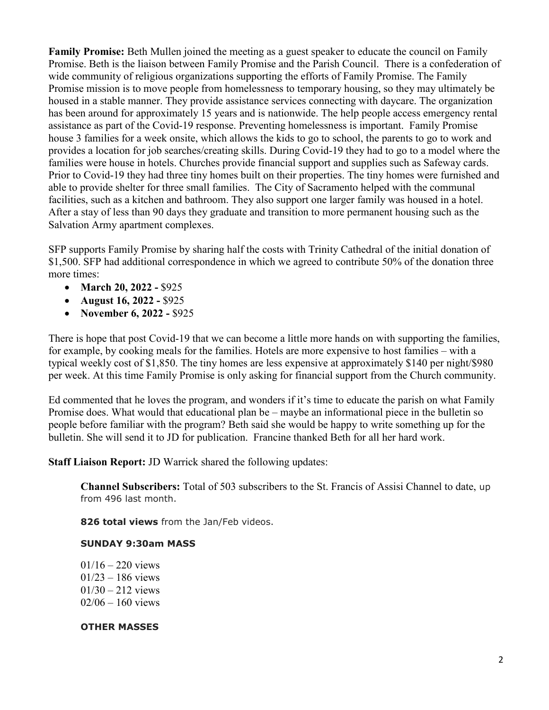**Family Promise:** Beth Mullen joined the meeting as a guest speaker to educate the council on Family Promise. Beth is the liaison between Family Promise and the Parish Council. There is a confederation of wide community of religious organizations supporting the efforts of Family Promise. The Family Promise mission is to move people from homelessness to temporary housing, so they may ultimately be housed in a stable manner. They provide assistance services connecting with daycare. The organization has been around for approximately 15 years and is nationwide. The help people access emergency rental assistance as part of the Covid-19 response. Preventing homelessness is important. Family Promise house 3 families for a week onsite, which allows the kids to go to school, the parents to go to work and provides a location for job searches/creating skills. During Covid-19 they had to go to a model where the families were house in hotels. Churches provide financial support and supplies such as Safeway cards. Prior to Covid-19 they had three tiny homes built on their properties. The tiny homes were furnished and able to provide shelter for three small families. The City of Sacramento helped with the communal facilities, such as a kitchen and bathroom. They also support one larger family was housed in a hotel. After a stay of less than 90 days they graduate and transition to more permanent housing such as the Salvation Army apartment complexes.

SFP supports Family Promise by sharing half the costs with Trinity Cathedral of the initial donation of \$1,500. SFP had additional correspondence in which we agreed to contribute 50% of the donation three more times:

- **March 20, 2022 -** \$925
- **August 16, 2022 -** \$925
- **November 6, 2022 -** \$925

There is hope that post Covid-19 that we can become a little more hands on with supporting the families, for example, by cooking meals for the families. Hotels are more expensive to host families – with a typical weekly cost of \$1,850. The tiny homes are less expensive at approximately \$140 per night/\$980 per week. At this time Family Promise is only asking for financial support from the Church community.

Ed commented that he loves the program, and wonders if it's time to educate the parish on what Family Promise does. What would that educational plan be – maybe an informational piece in the bulletin so people before familiar with the program? Beth said she would be happy to write something up for the bulletin. She will send it to JD for publication. Francine thanked Beth for all her hard work.

**Staff Liaison Report:** JD Warrick shared the following updates:

**Channel Subscribers:** Total of 503 subscribers to the St. Francis of Assisi Channel to date, up from 496 last month.

**826 total views** from the Jan/Feb videos.

## **SUNDAY 9:30am MASS**

 $01/16 - 220$  views 01/23 – 186 views  $01/30 - 212$  views 02/06 – 160 views

## **OTHER MASSES**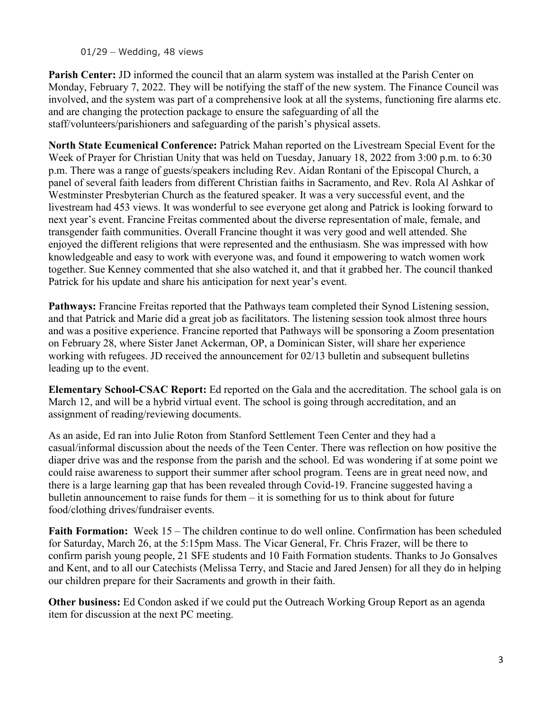01/29 – Wedding, 48 views

**Parish Center:** JD informed the council that an alarm system was installed at the Parish Center on Monday, February 7, 2022. They will be notifying the staff of the new system. The Finance Council was involved, and the system was part of a comprehensive look at all the systems, functioning fire alarms etc. and are changing the protection package to ensure the safeguarding of all the staff/volunteers/parishioners and safeguarding of the parish's physical assets.

**North State Ecumenical Conference:** Patrick Mahan reported on the Livestream Special Event for the Week of Prayer for Christian Unity that was held on Tuesday, January 18, 2022 from 3:00 p.m. to 6:30 p.m. There was a range of guests/speakers including Rev. Aidan Rontani of the Episcopal Church, a panel of several faith leaders from different Christian faiths in Sacramento, and Rev. Rola Al Ashkar of Westminster Presbyterian Church as the featured speaker. It was a very successful event, and the livestream had 453 views. It was wonderful to see everyone get along and Patrick is looking forward to next year's event. Francine Freitas commented about the diverse representation of male, female, and transgender faith communities. Overall Francine thought it was very good and well attended. She enjoyed the different religions that were represented and the enthusiasm. She was impressed with how knowledgeable and easy to work with everyone was, and found it empowering to watch women work together. Sue Kenney commented that she also watched it, and that it grabbed her. The council thanked Patrick for his update and share his anticipation for next year's event.

**Pathways:** Francine Freitas reported that the Pathways team completed their Synod Listening session, and that Patrick and Marie did a great job as facilitators. The listening session took almost three hours and was a positive experience. Francine reported that Pathways will be sponsoring a Zoom presentation on February 28, where Sister Janet Ackerman, OP, a Dominican Sister, will share her experience working with refugees. JD received the announcement for 02/13 bulletin and subsequent bulletins leading up to the event.

**Elementary School-CSAC Report:** Ed reported on the Gala and the accreditation. The school gala is on March 12, and will be a hybrid virtual event. The school is going through accreditation, and an assignment of reading/reviewing documents.

As an aside, Ed ran into Julie Roton from Stanford Settlement Teen Center and they had a casual/informal discussion about the needs of the Teen Center. There was reflection on how positive the diaper drive was and the response from the parish and the school. Ed was wondering if at some point we could raise awareness to support their summer after school program. Teens are in great need now, and there is a large learning gap that has been revealed through Covid-19. Francine suggested having a bulletin announcement to raise funds for them – it is something for us to think about for future food/clothing drives/fundraiser events.

**Faith Formation:** Week 15 – The children continue to do well online. Confirmation has been scheduled for Saturday, March 26, at the 5:15pm Mass. The Vicar General, Fr. Chris Frazer, will be there to confirm parish young people, 21 SFE students and 10 Faith Formation students. Thanks to Jo Gonsalves and Kent, and to all our Catechists (Melissa Terry, and Stacie and Jared Jensen) for all they do in helping our children prepare for their Sacraments and growth in their faith.

**Other business:** Ed Condon asked if we could put the Outreach Working Group Report as an agenda item for discussion at the next PC meeting.